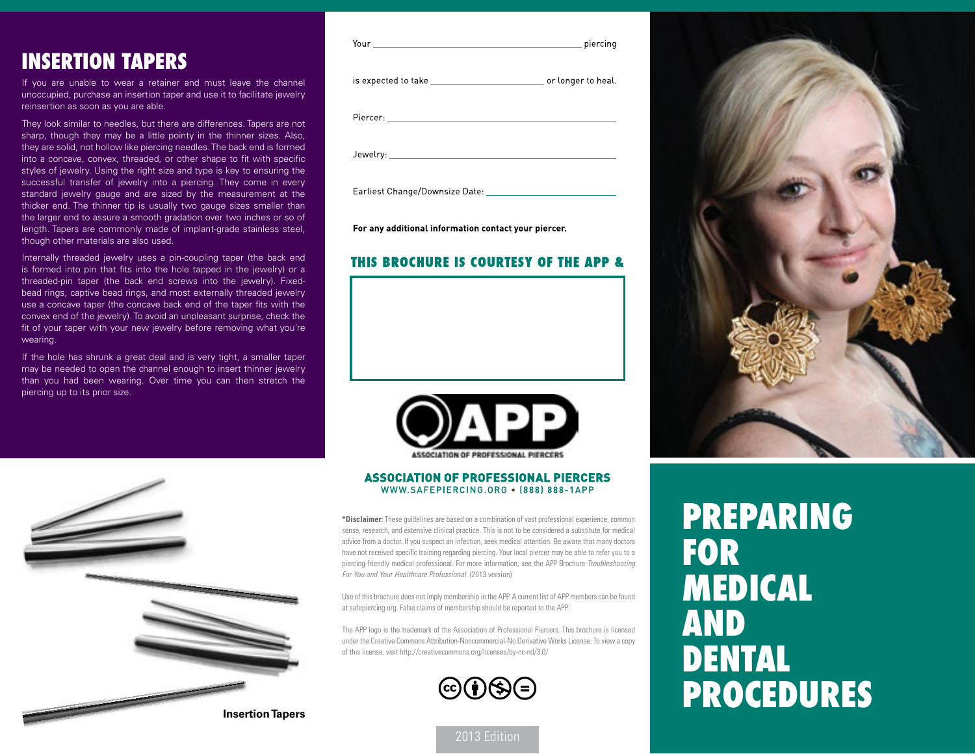## **Insertion Tapers**

If you are unable to wear a retainer and must leave the channel unoccupied, purchase an insertion taper and use it to facilitate jewelry reinsertion as soon as you are able.

They look similar to needles, but there are differences. Tapers are not sharp, though they may be a little pointy in the thinner sizes. Also, they are solid, not hollow like piercing needles. The back end is formed into a concave, convex, threaded, or other shape to fit with specific styles of jewelry. Using the right size and type is key to ensuring the successful transfer of jewelry into a piercing. They come in every standard jewelry gauge and are sized by the measurement at the thicker end. The thinner tip is usually two gauge sizes smaller than the larger end to assure a smooth gradation over two inches or so of length. Tapers are commonly made of implant-grade stainless steel, though other materials are also used.

Internally threaded jewelry uses a pin-coupling taper (the back end is formed into pin that fits into the hole tapped in the jewelry) or a threaded-pin taper (the back end screws into the jewelry). Fixedbead rings, captive bead rings, and most externally threaded jewelry use a concave taper (the concave back end of the taper fits with the convex end of the jewelry). To avoid an unpleasant surprise, check the fit of your taper with your new jewelry before removing what you're wearing.

If the hole has shrunk a great deal and is very tight, a smaller taper may be needed to open the channel enough to insert thinner jewelry than you had been wearing. Over time you can then stretch the piercing up to its prior size.

| Your research and the contract of the contract of the contract of the contract of the contract of the contract of the contract of the contract of the contract of the contract of the contract of the contract of the contract |  |
|--------------------------------------------------------------------------------------------------------------------------------------------------------------------------------------------------------------------------------|--|
|                                                                                                                                                                                                                                |  |
|                                                                                                                                                                                                                                |  |
|                                                                                                                                                                                                                                |  |
| Earliest Change/Downsize Date:                                                                                                                                                                                                 |  |

For any additional information contact your piercer.

#### **THIS BROCHURE IS COURTESY OF THE APP &**



#### **ASSOCIATION OF PROFESSIONAL PIERCERS** WWW.SAFEPIERCING.ORG . [888] 888-1APP

**\*Disclaimer:** These guidelines are based on a combination of vast professional experience, common sense, research, and extensive clinical practice. This is not to be considered a substitute for medical advice from a doctor. If you suspect an infection, seek medical attention. Be aware that many doctors have not received specific training regarding piercing. Your local piercer may be able to refer you to a piercing-friendly medical professional. For more information, see the APP Brochure *Troubleshooting For You and Your Healthcare Professional.* (2013 version)

Use of this brochure does not imply membership in the APP. A current list of APP members can be found at safepiercing.org. False claims of membership should be reported to the APP.

The APP logo is the trademark of the Association of Professional Piercers. This brochure is licensed under the Creative Commons Attribution-Noncommercial-No Derivative Works License. To view a copy of this license, visit http://creativecommons.org/licenses/by-nc-nd/3.0/



2013 Edition



# **Preparing for Medical and Dental Procedures**